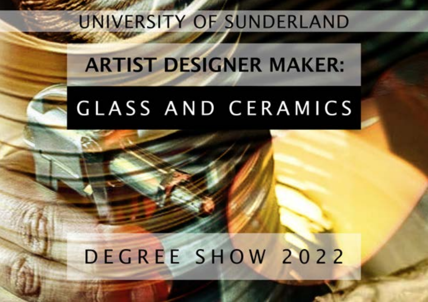# UNIVERSITY OF SUNDERLAND

# ARTIST DESIGNER MAKER:

# GLASS AND CERAMICS

# DEGREE SHOW 2022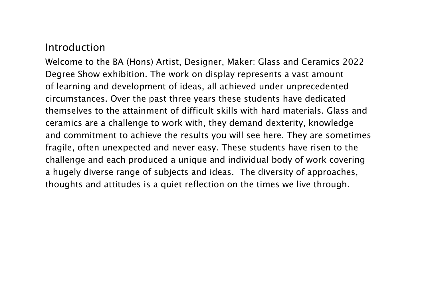#### Introduction

Welcome to the BA (Hons) Artist, Designer, Maker: Glass and Ceramics 2022 Degree Show exhibition. The work on display represents a vast amount of learning and development of ideas, all achieved under unprecedented circumstances. Over the past three years these students have dedicated themselves to the attainment of difficult skills with hard materials. Glass and ceramics are a challenge to work with, they demand dexterity, knowledge and commitment to achieve the results you will see here. They are sometimes fragile, often unexpected and never easy. These students have risen to the challenge and each produced a unique and individual body of work covering a hugely diverse range of subjects and ideas. The diversity of approaches, thoughts and attitudes is a quiet reflection on the times we live through.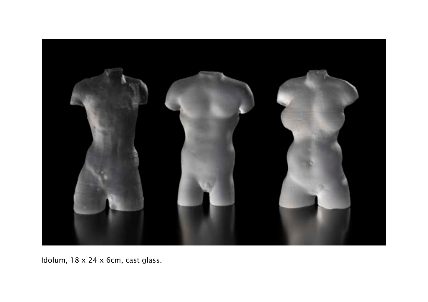

Idolum, 18 x 24 x 6cm, cast glass.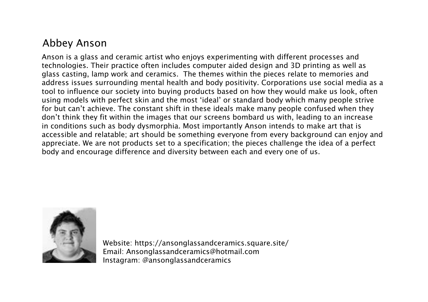#### Abbey Anson

Anson is a glass and ceramic artist who enjoys experimenting with different processes and technologies. Their practice often includes computer aided design and 3D printing as well as glass casting, lamp work and ceramics. The themes within the pieces relate to memories and address issues surrounding mental health and body positivity. Corporations use social media as a tool to influence our society into buying products based on how they would make us look, often using models with perfect skin and the most 'ideal' or standard body which many people strive for but can't achieve. The constant shift in these ideals make many people confused when they don't think they fit within the images that our screens bombard us with, leading to an increase in conditions such as body dysmorphia. Most importantly Anson intends to make art that is accessible and relatable; art should be something everyone from every background can enjoy and appreciate. We are not products set to a specification; the pieces challenge the idea of a perfect body and encourage difference and diversity between each and every one of us.



Website: https://ansonglassandceramics.square.site/ Email: Ansonglassandceramics@hotmail.com Instagram: @ansonglassandceramics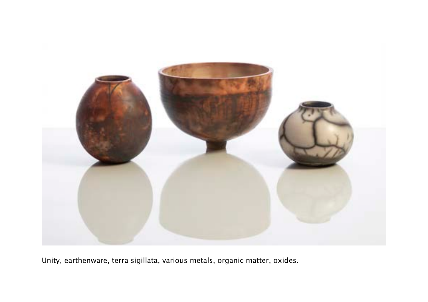

Unity, earthenware, terra sigillata, various metals, organic matter, oxides.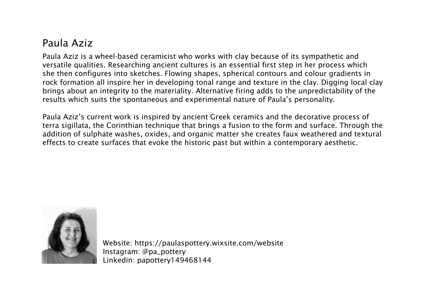## Paula Aziz

Paula Aziz is a wheel-based ceramicist who works with clay because of its sympathetic and versatile qualities. Researching ancient cultures is an essential first step in her process which she then configures into sketches. Flowing shapes, spherical contours and colour gradients in rock formation all inspire her in developing tonal range and texture in the clay. Digging local clay brings about an integrity to the materiality. Alternative firing adds to the unpredictability of the results which suits the spontaneous and experimental nature of Paula's personality.

Paula Aziz's current work is inspired by ancient Greek ceramics and the decorative process of terra sigillata, the Corinthian technique that brings a fusion to the form and surface. Through the addition of sulphate washes, oxides, and organic matter she creates faux weathered and textural effects to create surfaces that evoke the historic past but within a contemporary aesthetic.



Website: https://paulaspottery.wixsite.com/website Instagram: @pa\_pottery Linkedin: papottery149468144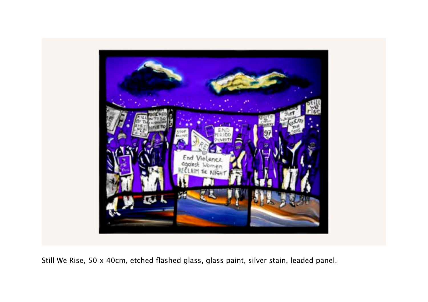

Still We Rise, 50 x 40cm, etched flashed glass, glass paint, silver stain, leaded panel.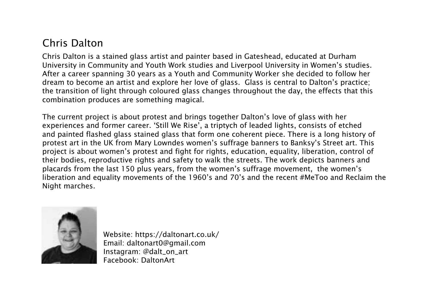# Chris Dalton

Chris Dalton is a stained glass artist and painter based in Gateshead, educated at Durham University in Community and Youth Work studies and Liverpool University in Women's studies. After a career spanning 30 years as a Youth and Community Worker she decided to follow her dream to become an artist and explore her love of glass. Glass is central to Dalton's practice; the transition of light through coloured glass changes throughout the day, the effects that this combination produces are something magical.

The current project is about protest and brings together Dalton's love of glass with her experiences and former career. 'Still We Rise', a triptych of leaded lights, consists of etched and painted flashed glass stained glass that form one coherent piece. There is a long history of protest art in the UK from Mary Lowndes women's suffrage banners to Banksy's Street art. This project is about women's protest and fight for rights, education, equality, liberation, control of their bodies, reproductive rights and safety to walk the streets. The work depicts banners and placards from the last 150 plus years, from the women's suffrage movement, the women's liberation and equality movements of the 1960's and 70's and the recent #MeToo and Reclaim the Night marches.



Website: https://daltonart.co.uk/ Email: daltonart0@gmail.com Instagram: @dalt\_on\_art Facebook: DaltonArt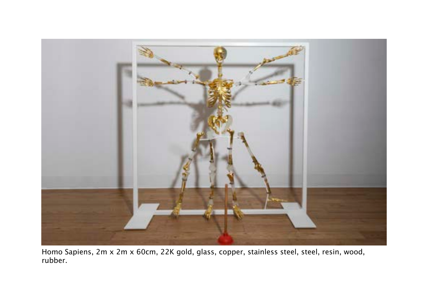

Homo Sapiens, 2m x 2m x 60cm, 22K gold, glass, copper, stainless steel, steel, resin, wood, rubber.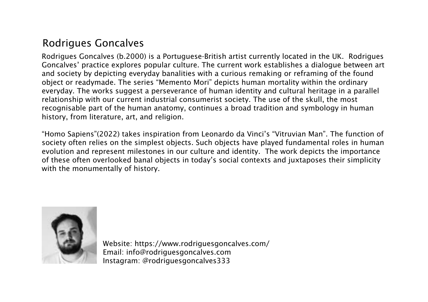## Rodrigues Goncalves

Rodrigues Goncalves (b.2000) is a Portuguese-British artist currently located in the UK. Rodrigues Goncalves' practice explores popular culture. The current work establishes a dialogue between art and society by depicting everyday banalities with a curious remaking or reframing of the found object or readymade. The series "Memento Mori" depicts human mortality within the ordinary everyday. The works suggest a perseverance of human identity and cultural heritage in a parallel relationship with our current industrial consumerist society. The use of the skull, the most recognisable part of the human anatomy, continues a broad tradition and symbology in human history, from literature, art, and religion.

"Homo Sapiens"(2022) takes inspiration from Leonardo da Vinci's "Vitruvian Man". The function of society often relies on the simplest objects. Such objects have played fundamental roles in human evolution and represent milestones in our culture and identity. The work depicts the importance of these often overlooked banal objects in today's social contexts and juxtaposes their simplicity with the monumentally of history.



Website: https://www.rodriguesgoncalves.com/ Email: info@rodriguesgoncalves.com Instagram: @rodriguesgoncalves333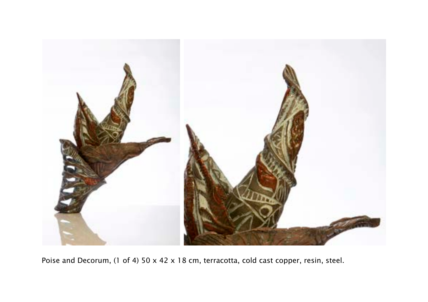

Poise and Decorum, (1 of 4) 50 x 42 x 18 cm, terracotta, cold cast copper, resin, steel.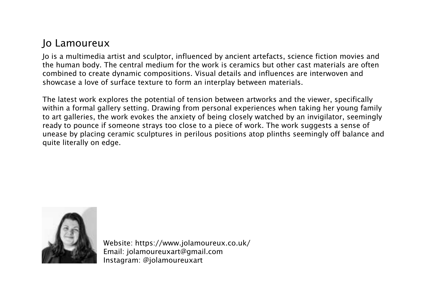## Jo Lamoureux

Jo is a multimedia artist and sculptor, influenced by ancient artefacts, science fiction movies and the human body. The central medium for the work is ceramics but other cast materials are often combined to create dynamic compositions. Visual details and influences are interwoven and showcase a love of surface texture to form an interplay between materials.

The latest work explores the potential of tension between artworks and the viewer, specifically within a formal gallery setting. Drawing from personal experiences when taking her young family to art galleries, the work evokes the anxiety of being closely watched by an invigilator, seemingly ready to pounce if someone strays too close to a piece of work. The work suggests a sense of unease by placing ceramic sculptures in perilous positions atop plinths seemingly off balance and quite literally on edge.



Website: https://www.jolamoureux.co.uk/ Email: jolamoureuxart@gmail.com Instagram: @jolamoureuxart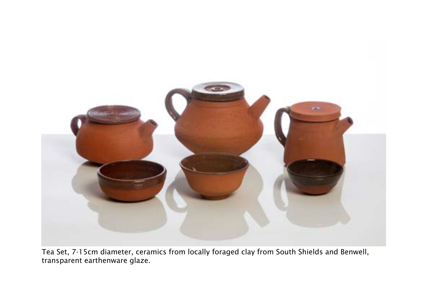

Tea Set, 7-15cm diameter, ceramics from locally foraged clay from South Shields and Benwell, transparent earthenware glaze.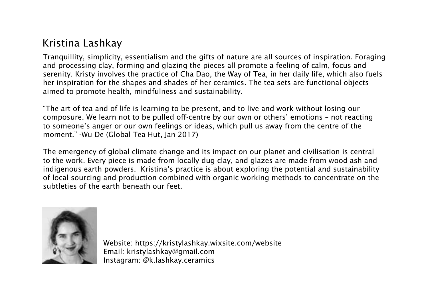# Kristina Lashkay

Tranquillity, simplicity, essentialism and the gifts of nature are all sources of inspiration. Foraging and processing clay, forming and glazing the pieces all promote a feeling of calm, focus and serenity. Kristy involves the practice of Cha Dao, the Way of Tea, in her daily life, which also fuels her inspiration for the shapes and shades of her ceramics. The tea sets are functional objects aimed to promote health, mindfulness and sustainability.

"The art of tea and of life is learning to be present, and to live and work without losing our composure. We learn not to be pulled off-centre by our own or others' emotions – not reacting to someone's anger or our own feelings or ideas, which pull us away from the centre of the moment." -Wu De (Global Tea Hut, Jan 2017)

The emergency of global climate change and its impact on our planet and civilisation is central to the work. Every piece is made from locally dug clay, and glazes are made from wood ash and indigenous earth powders. Kristina's practice is about exploring the potential and sustainability of local sourcing and production combined with organic working methods to concentrate on the subtleties of the earth beneath our feet.



Website: https://kristylashkay.wixsite.com/website Email: kristylashkay@gmail.com Instagram: @k.lashkay.ceramics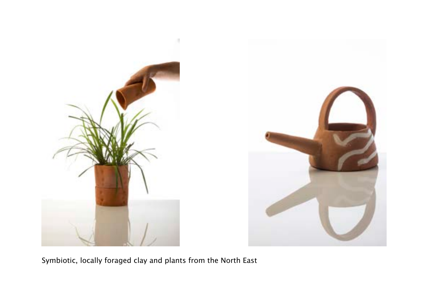



Symbiotic, locally foraged clay and plants from the North East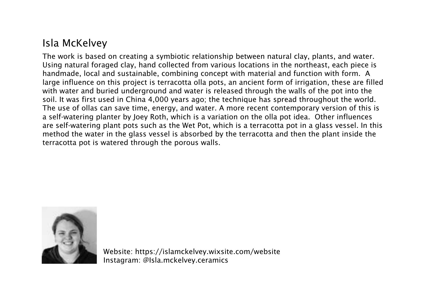# Isla McKelvey

The work is based on creating a symbiotic relationship between natural clay, plants, and water. Using natural foraged clay, hand collected from various locations in the northeast, each piece is handmade, local and sustainable, combining concept with material and function with form. A large influence on this project is terracotta olla pots, an ancient form of irrigation, these are filled with water and buried underground and water is released through the walls of the pot into the soil. It was first used in China 4,000 years ago; the technique has spread throughout the world. The use of ollas can save time, energy, and water. A more recent contemporary version of this is a self-watering planter by Joey Roth, which is a variation on the olla pot idea. Other influences are self-watering plant pots such as the Wet Pot, which is a terracotta pot in a glass vessel. In this method the water in the glass vessel is absorbed by the terracotta and then the plant inside the terracotta pot is watered through the porous walls.



Website: https://islamckelvey.wixsite.com/website Instagram: @Isla.mckelvey.ceramics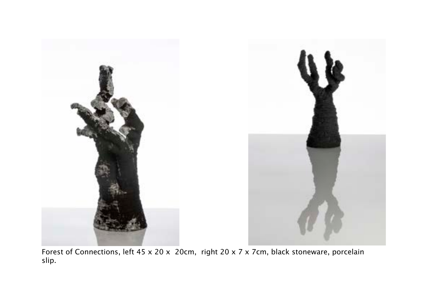

Forest of Connections, left 45 x 20 x 20cm, right 20 x 7 x 7cm, black stoneware, porcelain slip.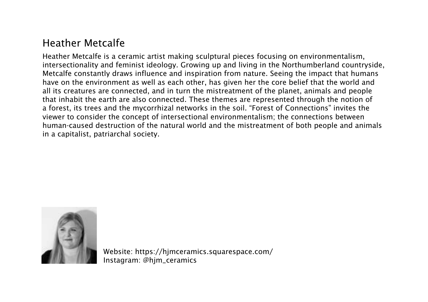#### Heather Metcalfe

Heather Metcalfe is a ceramic artist making sculptural pieces focusing on environmentalism, intersectionality and feminist ideology. Growing up and living in the Northumberland countryside, Metcalfe constantly draws influence and inspiration from nature. Seeing the impact that humans have on the environment as well as each other, has given her the core belief that the world and all its creatures are connected, and in turn the mistreatment of the planet, animals and people that inhabit the earth are also connected. These themes are represented through the notion of a forest, its trees and the mycorrhizal networks in the soil. "Forest of Connections" invites the viewer to consider the concept of intersectional environmentalism; the connections between human-caused destruction of the natural world and the mistreatment of both people and animals in a capitalist, patriarchal society.



Website: https://hjmceramics.squarespace.com/ Instagram: @hjm\_ceramics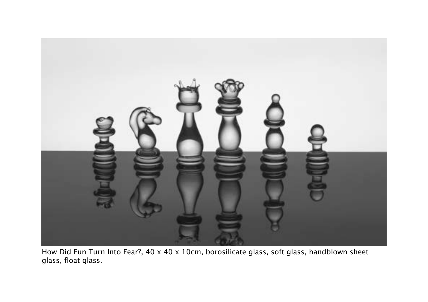

How Did Fun Turn Into Fear?, 40 x 40 x 10cm, borosilicate glass, soft glass, handblown sheet glass, float glass.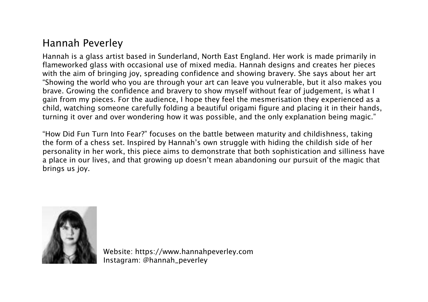## Hannah Peverley

Hannah is a glass artist based in Sunderland, North East England. Her work is made primarily in flameworked glass with occasional use of mixed media. Hannah designs and creates her pieces with the aim of bringing joy, spreading confidence and showing bravery. She says about her art "Showing the world who you are through your art can leave you vulnerable, but it also makes you brave. Growing the confidence and bravery to show myself without fear of judgement, is what I gain from my pieces. For the audience, I hope they feel the mesmerisation they experienced as a child, watching someone carefully folding a beautiful origami figure and placing it in their hands, turning it over and over wondering how it was possible, and the only explanation being magic."

"How Did Fun Turn Into Fear?" focuses on the battle between maturity and childishness, taking the form of a chess set. Inspired by Hannah's own struggle with hiding the childish side of her personality in her work, this piece aims to demonstrate that both sophistication and silliness have a place in our lives, and that growing up doesn't mean abandoning our pursuit of the magic that brings us joy.



Website: https://www.hannahpeverley.com Instagram: @hannah\_peverley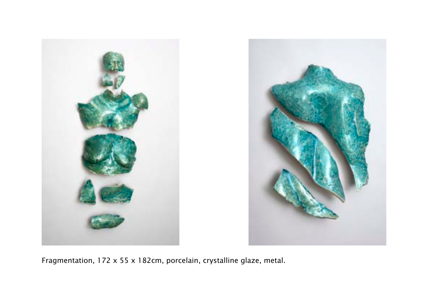



Fragmentation, 172 x 55 x 182cm, porcelain, crystalline glaze, metal.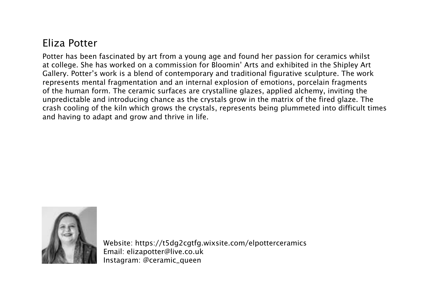#### Eliza Potter

Potter has been fascinated by art from a young age and found her passion for ceramics whilst at college. She has worked on a commission for Bloomin' Arts and exhibited in the Shipley Art Gallery. Potter's work is a blend of contemporary and traditional figurative sculpture. The work represents mental fragmentation and an internal explosion of emotions, porcelain fragments of the human form. The ceramic surfaces are crystalline glazes, applied alchemy, inviting the unpredictable and introducing chance as the crystals grow in the matrix of the fired glaze. The crash cooling of the kiln which grows the crystals, represents being plummeted into difficult times and having to adapt and grow and thrive in life.



Website: https://t5dg2cgtfg.wixsite.com/elpotterceramics Email: elizapotter@live.co.uk Instagram: @ceramic\_queen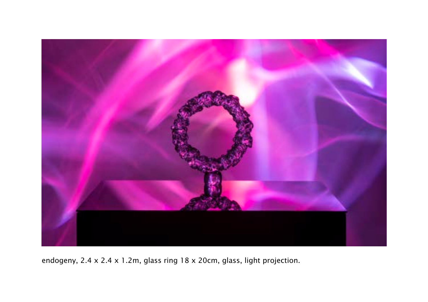

endogeny, 2.4 x 2.4 x 1.2m, glass ring 18 x 20cm, glass, light projection.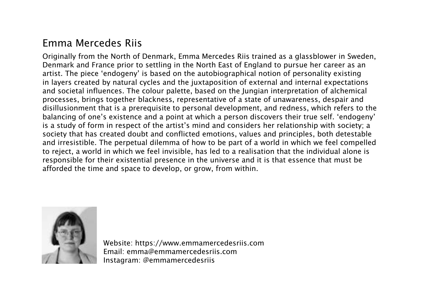#### Emma Mercedes Riis

Originally from the North of Denmark, Emma Mercedes Riis trained as a glassblower in Sweden, Denmark and France prior to settling in the North East of England to pursue her career as an artist. The piece 'endogeny' is based on the autobiographical notion of personality existing in layers created by natural cycles and the juxtaposition of external and internal expectations and societal influences. The colour palette, based on the Jungian interpretation of alchemical processes, brings together blackness, representative of a state of unawareness, despair and disillusionment that is a prerequisite to personal development, and redness, which refers to the balancing of one's existence and a point at which a person discovers their true self. 'endogeny' is a study of form in respect of the artist's mind and considers her relationship with society; a society that has created doubt and conflicted emotions, values and principles, both detestable and irresistible. The perpetual dilemma of how to be part of a world in which we feel compelled to reject, a world in which we feel invisible, has led to a realisation that the individual alone is responsible for their existential presence in the universe and it is that essence that must be afforded the time and space to develop, or grow, from within.



Website: https://www.emmamercedesriis.com Email: emma@emmamercedesriis.com Instagram: @emmamercedesriis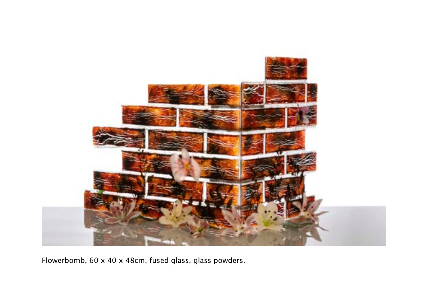

Flowerbomb, 60 x 40 x 48cm, fused glass, glass powders.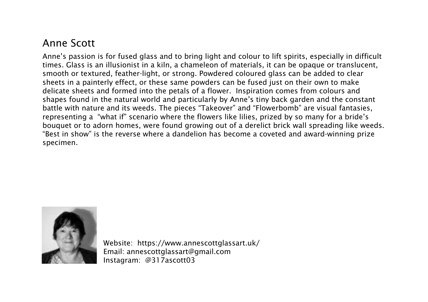#### Anne Scott

Anne's passion is for fused glass and to bring light and colour to lift spirits, especially in difficult times. Glass is an illusionist in a kiln, a chameleon of materials, it can be opaque or translucent, smooth or textured, feather-light, or strong. Powdered coloured glass can be added to clear sheets in a painterly effect, or these same powders can be fused just on their own to make delicate sheets and formed into the petals of a flower. Inspiration comes from colours and shapes found in the natural world and particularly by Anne's tiny back garden and the constant battle with nature and its weeds. The pieces "Takeover" and "Flowerbomb" are visual fantasies, representing a "what if" scenario where the flowers like lilies, prized by so many for a bride's bouquet or to adorn homes, were found growing out of a derelict brick wall spreading like weeds. "Best in show" is the reverse where a dandelion has become a coveted and award-winning prize specimen.



Website: https://www.annescottglassart.uk/ Email: annescottglassart@gmail.com Instagram: @317ascott03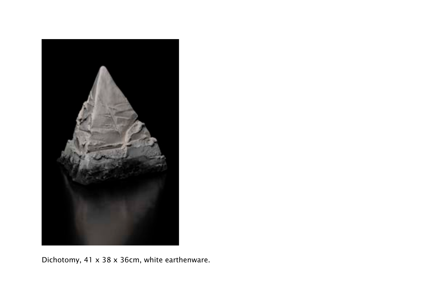

Dichotomy, 41 x 38 x 36cm, white earthenware.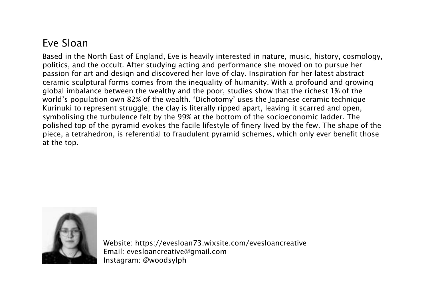## Eve Sloan

Based in the North East of England, Eve is heavily interested in nature, music, history, cosmology, politics, and the occult. After studying acting and performance she moved on to pursue her passion for art and design and discovered her love of clay. Inspiration for her latest abstract ceramic sculptural forms comes from the inequality of humanity. With a profound and growing global imbalance between the wealthy and the poor, studies show that the richest 1% of the world's population own 82% of the wealth. 'Dichotomy' uses the Japanese ceramic technique Kurinuki to represent struggle; the clay is literally ripped apart, leaving it scarred and open, symbolising the turbulence felt by the 99% at the bottom of the socioeconomic ladder. The polished top of the pyramid evokes the facile lifestyle of finery lived by the few. The shape of the piece, a tetrahedron, is referential to fraudulent pyramid schemes, which only ever benefit those at the top.



Website: https://evesloan73.wixsite.com/evesloancreative Email: evesloancreative@gmail.com Instagram: @woodsylph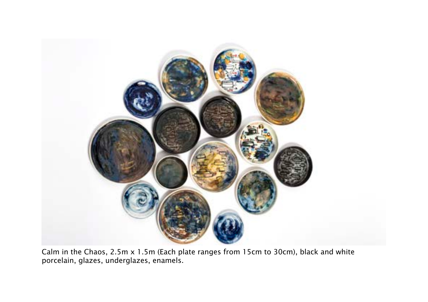

Calm in the Chaos, 2.5m x 1.5m (Each plate ranges from 15cm to 30cm), black and white porcelain, glazes, underglazes, enamels.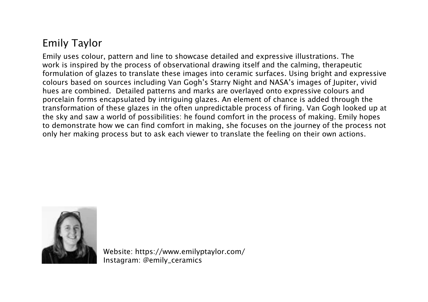# Emily Taylor

Emily uses colour, pattern and line to showcase detailed and expressive illustrations. The work is inspired by the process of observational drawing itself and the calming, therapeutic formulation of glazes to translate these images into ceramic surfaces. Using bright and expressive colours based on sources including Van Gogh's Starry Night and NASA's images of Jupiter, vivid hues are combined. Detailed patterns and marks are overlayed onto expressive colours and porcelain forms encapsulated by intriguing glazes. An element of chance is added through the transformation of these glazes in the often unpredictable process of firing. Van Gogh looked up at the sky and saw a world of possibilities: he found comfort in the process of making. Emily hopes to demonstrate how we can find comfort in making, she focuses on the journey of the process not only her making process but to ask each viewer to translate the feeling on their own actions.



Website: https://www.emilyptaylor.com/ Instagram: @emily\_ceramics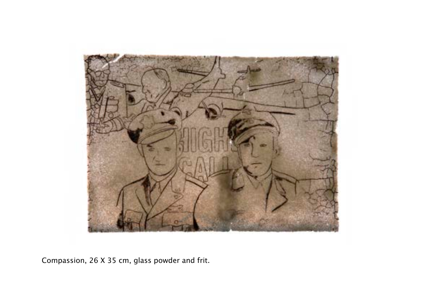

Compassion, 26 X 35 cm, glass powder and frit.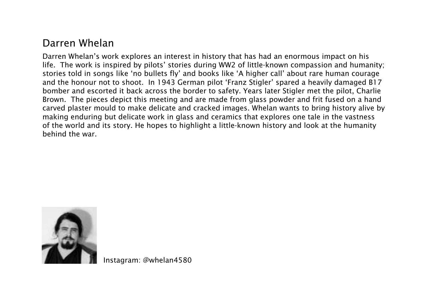#### Darren Whelan

Darren Whelan's work explores an interest in history that has had an enormous impact on his life. The work is inspired by pilots' stories during WW2 of little-known compassion and humanity; stories told in songs like 'no bullets fly' and books like 'A higher call' about rare human courage and the honour not to shoot. In 1943 German pilot 'Franz Stigler' spared a heavily damaged B17 bomber and escorted it back across the border to safety. Years later Stigler met the pilot, Charlie Brown. The pieces depict this meeting and are made from glass powder and frit fused on a hand carved plaster mould to make delicate and cracked images. Whelan wants to bring history alive by making enduring but delicate work in glass and ceramics that explores one tale in the vastness of the world and its story. He hopes to highlight a little-known history and look at the humanity behind the war.



Instagram: @whelan4580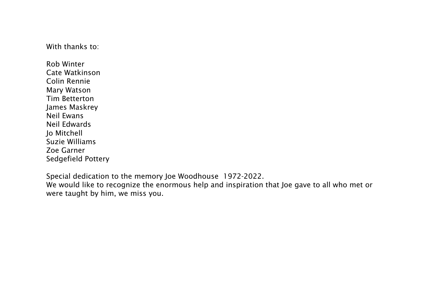With thanks to:

Rob Winter Cate Watkinson Colin Rennie Mary Watson Tim Betterton James Maskrey Neil Ewans Neil Edwards Jo Mitchell Suzie Williams Zoe Garner Sedgefield Pottery

Special dedication to the memory Joe Woodhouse 1972-2022.

We would like to recognize the enormous help and inspiration that Joe gave to all who met or were taught by him, we miss you.